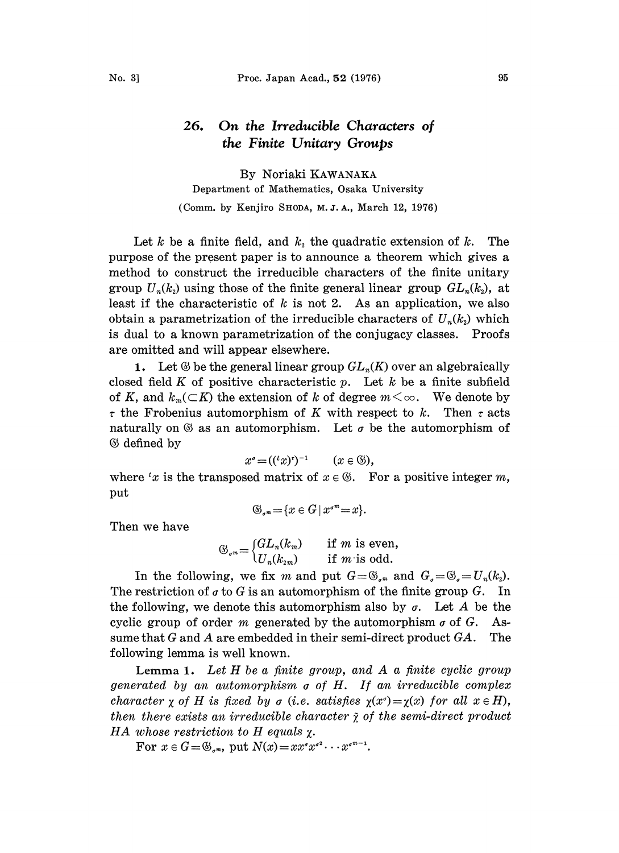## 26. On the Irreducible Characters of the Finite Unitary Groups

By Noriaki KAWANAKA Department of Mathematics, Osaka University (Comm. by Kenjiro SHODA, M.J.A., March 12, 1976)

Let k be a finite field, and  $k_2$  the quadratic extension of k. The purpose of the present paper is to announce a theorem which gives a method to construct the irreducible characters of the finite unitary group  $U_n(k_2)$  using those of the finite general linear group  $GL_n(k_2)$ , at least if the characteristic of  $k$  is not 2. As an application, we also obtain a parametrization of the irreducible characters of  $U_n(k_2)$  which is dual to a known parametrization of the conjugacy classes. Proofs are omitted and will appear elsewhere.

1. Let  $\mathfrak G$  be the general linear group  $GL_n(K)$  over an algebraically closed field K of positive characteristic p. Let  $k$  be a finite subfield of K, and  $k_m(\subset K)$  the extension of k of degree  $m<\infty$ . We denote by  $\tau$  the Frobenius automorphism of K with respect to k. Then  $\tau$  acts naturally on  $\mathfrak G$  as an automorphism. Let  $\sigma$  be the automorphism of  $&$  defined by

$$
x^{\sigma} = (({}^t x)^{\tau})^{-1} \qquad (x \in \mathbb{G})
$$

 $x^{\sigma} = (({}^{t}x)^{\tau})^{-1}$   $(x \in \mathbb{G})$ ,<br>where 'x is the transposed matrix of  $x \in \mathbb{G}$ . For a positive integer m, put

$$
\mathfrak{G}_{\sigma^m} = \{x \in G \mid x^{\sigma^m} = x\}.
$$

Then we have

$$
\mathfrak{G}_{\sigma^m} = \begin{cases} GL_n(k_m) & \text{if } m \text{ is even,} \\ U_n(k_{2m}) & \text{if } m \text{ is odd.} \end{cases}
$$

In the following, we fix m and put  $G=\mathfrak{G}_{\sigma^m}$  and  $G_{\sigma}=\mathfrak{G}_{\sigma}=U_n(k_2)$ . The restriction of  $\sigma$  to G is an automorphism of the finite group G. In the following, we denote this automorphism also by  $\sigma$ . Let A be the cyclic group of order m generated by the automorphism  $\sigma$  of G. Assume that  $G$  and  $A$  are embedded in their semi-direct product  $GA$ . The following lemma is well known.

Lemma 1. Let  $H$  be a finite group, and  $A$  a finite cyclic group generated by an automorphism  $\sigma$  of  $H$ . If an irreducible complex character  $\gamma$  of H is fixed by  $\sigma$  (i.e. satisfies  $\gamma(x^{\sigma})=\gamma(x)$  for all  $x \in H$ ), then there exists an irreducible character  $\tilde{\chi}$  of the semi-direct product HA whose restriction to H equals  $\chi$ .

For  $x \in G = \mathfrak{S}_{\sigma^m}$ , put  $N(x) = xx^{\sigma}x^{\sigma^2} \cdots x^{\sigma^{m-1}}$ .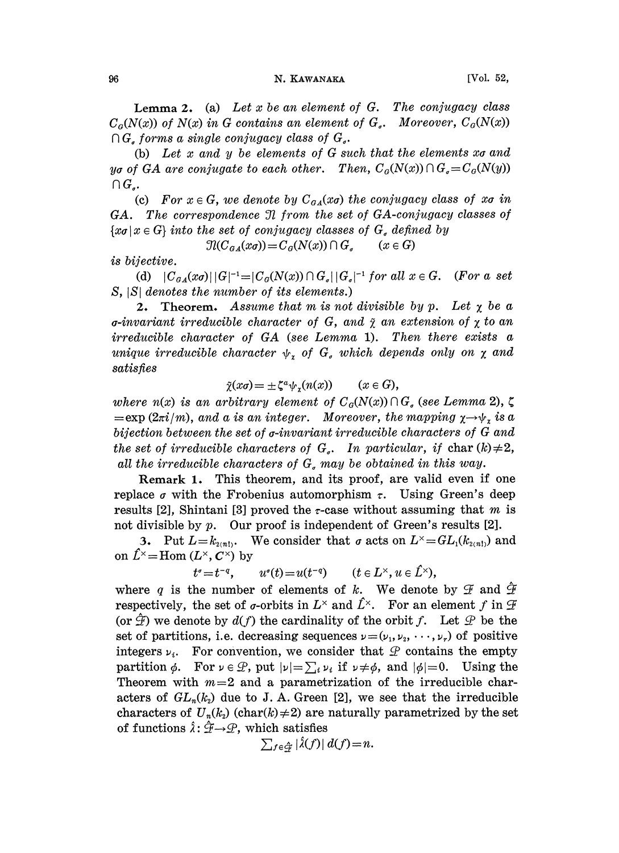## 96 N. KAWANAKA [Vol. 52,

Lemma 2. (a) Let  $x$  be an element of  $G$ . The conjugacy class  $C_G(N(x))$  of  $N(x)$  in G contains an element of  $G<sub>a</sub>$ . Moreover,  $C_G(N(x))$  $\bigcap G_{\sigma}$  forms a single conjugacy class of  $G_{\sigma}$ .

(b) Let  $x$  and  $y$  be elements of  $G$  such that the elements  $x\sigma$  and yo of GA are conjugate to each other. Then,  $C_G(N(x)) \cap G_q = C_G(N(y))$  $\bigcap G_{a}$ .

(c) For  $x \in G$ , we denote by  $C_{GA}(x_0)$  the conjugacy class of xo in GA. The correspondence 3l from the set of GA-conjugacy classes of  ${x \in G}$  into the set of conjugacy classes of  $G_a$  defined by<br> $\mathcal{I}(C_{a}(\alpha)) = C_a(N(\alpha)) \cap G_a$  ( $x \in G$ )

 $\mathcal{I}(C_{\mathfrak{a}A}(x\sigma)) = C_{\mathfrak{a}}(N(x)) \cap G_{\mathfrak{a}}$ 

is bijective.

(d)  $|C_{GA}(x\sigma)| |G|^{-1} = |C_G(N(x)) \cap G_{\sigma}| |G_{\sigma}|^{-1}$  for all  $x \in G$ . (For a set  $|G|$  denotes the number of its elements.)  $S$ ,  $|S|$  denotes the number of its elements.)

2. Theorem. Assume that m is not divisible by p. Let  $\chi$  be a  $\sigma$ -invariant irreducible character of G, and  $\tilde{\chi}$  an extension of  $\chi$  to an irreducible character of GA (see Lemma 1). Then there exists a unique irreducible character  $\psi_r$  of  $G_s$  which depends only on  $\chi$  and satisfies

$$
\tilde{\chi}(x\sigma) = \pm \zeta^a \psi_x(n(x)) \qquad (x \in G),
$$

where  $n(x)$  is an arbitrary element of  $C_G(N(x)) \cap G<sub>e</sub>$  (see Lemma 2),  $\zeta$  $=\exp{(2\pi i/m)}$ , and a is an integer. Moreover, the mapping  $\chi \rightarrow \psi$ , is a bijection between the set of  $\sigma$ -invariant irreducible characters of  $G$  and the set of irreducible characters of  $G<sub>a</sub>$ . In particular, if char  $(k) \neq 2$ , all the irreducible characters of  $G_{\sigma}$  may be obtained in this way.

Remark 1. This theorem, and its proof, are valid even if one replace  $\sigma$  with the Frobenius automorphism  $\tau$ . Using Green's deep results [2], Shintani [3] proved the  $\tau$ -case without assuming that m is not divisible by p. Our proof is independent of Green's results [2].

3. Put  $L=k_{(2n)}$ . We consider that  $\sigma$  acts on  $L^{\times}=GL_1(k_{(2n)})$  and on  $\hat{L}^{\times}$ =Hom ( $L^{\times}$ ,  $C^{\times}$ ) by

$$
t^{\sigma}=t^{-q}, \qquad u^{\sigma}(t)=u(t^{-q}) \qquad (t\in L^{\times}, u\in \hat{L}^{\times}),
$$

where q is the number of elements of k. We denote by  $\mathcal F$  and  $\mathcal F$ respectively, the set of *o*-orbits in  $L^{\times}$  and  $\hat{L}^{\times}$ . For an element f in  $\mathcal{F}$ (or  $\hat{\mathcal{F}}$ ) we denote by  $d(f)$  the cardinality of the orbit f. Let  $\mathcal{P}$  be the set of partitions, i.e. decreasing sequences  $\nu=(\nu_1, \nu_2, \dots, \nu_r)$  of positive integers  $\nu_i$ . For convention, we consider that  $\mathcal P$  contains the empty partition  $\phi$ . For  $\nu \in \mathcal{P}$ , put  $|\nu| = \sum_i \nu_i$  if  $\nu \neq \phi$ , and  $|\phi|=0$ . Using the Theorem with  $m=2$  and a parametrization of the irreducible characters of  $GL_n(k_2)$  due to J. A. Green [2], we see that the irreducible characters of  $U_n(k_2)$  (char(k)  $\neq$ 2) are naturally parametrized by the set  $\begin{split} \text{of functions }\hat{\lambda} \colon \hat{\mathcal{F}} {\rightarrow} \mathcal{P}, \text{ which satisfies} \ &\sum_{f \in \hat{\mathcal{F}}} |\hat{\lambda}(f)| \ d(f) {=} n. \end{split}$ 

$$
\sum_{f \in \hat{\mathcal{C}}_t} |\hat{\lambda}(f)| d(f) = n.
$$